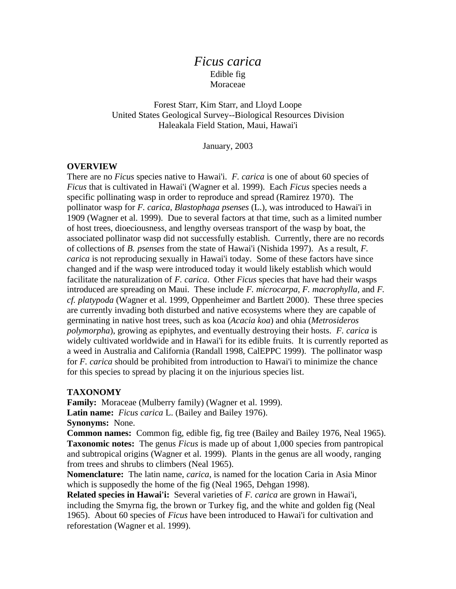# *Ficus carica* Edible fig Moraceae

Forest Starr, Kim Starr, and Lloyd Loope United States Geological Survey--Biological Resources Division Haleakala Field Station, Maui, Hawai'i

January, 2003

#### **OVERVIEW**

There are no *Ficus* species native to Hawai'i. *F. carica* is one of about 60 species of *Ficus* that is cultivated in Hawai'i (Wagner et al. 1999). Each *Ficus* species needs a specific pollinating wasp in order to reproduce and spread (Ramirez 1970). The pollinator wasp for *F. carica, Blastophaga psenses* (L.), was introduced to Hawai'i in 1909 (Wagner et al. 1999). Due to several factors at that time, such as a limited number of host trees, dioeciousness, and lengthy overseas transport of the wasp by boat, the associated pollinator wasp did not successfully establish. Currently, there are no records of collections of *B. psenses* from the state of Hawai'i (Nishida 1997). As a result, *F. carica* is not reproducing sexually in Hawai'i today. Some of these factors have since changed and if the wasp were introduced today it would likely establish which would facilitate the naturalization of *F. carica*. Other *Ficus* species that have had their wasps introduced are spreading on Maui. These include *F. microcarpa, F. macrophylla,* and *F. cf. platypoda* (Wagner et al. 1999, Oppenheimer and Bartlett 2000). These three species are currently invading both disturbed and native ecosystems where they are capable of germinating in native host trees, such as koa (*Acacia koa*) and ohia (*Metrosideros polymorpha*), growing as epiphytes, and eventually destroying their hosts. *F. carica* is widely cultivated worldwide and in Hawai'i for its edible fruits. It is currently reported as a weed in Australia and California (Randall 1998, CalEPPC 1999). The pollinator wasp for *F. carica* should be prohibited from introduction to Hawai'i to minimize the chance for this species to spread by placing it on the injurious species list.

### **TAXONOMY**

**Family:** Moraceae (Mulberry family) (Wagner et al. 1999). **Latin name:** *Ficus carica* L. (Bailey and Bailey 1976). **Synonyms:** None.

**Common names:** Common fig, edible fig, fig tree (Bailey and Bailey 1976, Neal 1965). **Taxonomic notes:** The genus *Ficus* is made up of about 1,000 species from pantropical and subtropical origins (Wagner et al. 1999). Plants in the genus are all woody, ranging from trees and shrubs to climbers (Neal 1965).

**Nomenclature:** The latin name, *carica*, is named for the location Caria in Asia Minor which is supposedly the home of the fig (Neal 1965, Dehgan 1998).

**Related species in Hawai'i:** Several varieties of *F. carica* are grown in Hawai'i, including the Smyrna fig, the brown or Turkey fig, and the white and golden fig (Neal 1965). About 60 species of *Ficus* have been introduced to Hawai'i for cultivation and reforestation (Wagner et al. 1999).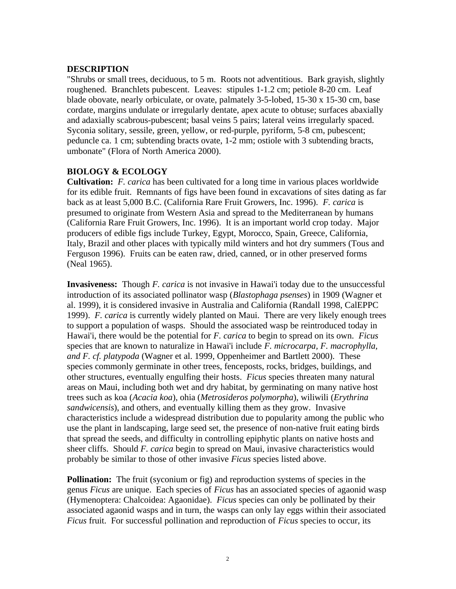## **DESCRIPTION**

"Shrubs or small trees, deciduous, to 5 m. Roots not adventitious. Bark grayish, slightly roughened. Branchlets pubescent. Leaves: stipules 1-1.2 cm; petiole 8-20 cm. Leaf blade obovate, nearly orbiculate, or ovate, palmately 3-5-lobed, 15-30 x 15-30 cm, base cordate, margins undulate or irregularly dentate, apex acute to obtuse; surfaces abaxially and adaxially scabrous-pubescent; basal veins 5 pairs; lateral veins irregularly spaced. Syconia solitary, sessile, green, yellow, or red-purple, pyriform, 5-8 cm, pubescent; peduncle ca. 1 cm; subtending bracts ovate, 1-2 mm; ostiole with 3 subtending bracts, umbonate" (Flora of North America 2000).

## **BIOLOGY & ECOLOGY**

**Cultivation:** *F. carica* has been cultivated for a long time in various places worldwide for its edible fruit. Remnants of figs have been found in excavations of sites dating as far back as at least 5,000 B.C. (California Rare Fruit Growers, Inc. 1996). *F. carica* is presumed to originate from Western Asia and spread to the Mediterranean by humans (California Rare Fruit Growers, Inc. 1996). It is an important world crop today. Major producers of edible figs include Turkey, Egypt, Morocco, Spain, Greece, California, Italy, Brazil and other places with typically mild winters and hot dry summers (Tous and Ferguson 1996). Fruits can be eaten raw, dried, canned, or in other preserved forms (Neal 1965).

**Invasiveness:** Though *F. carica* is not invasive in Hawai'i today due to the unsuccessful introduction of its associated pollinator wasp (*Blastophaga psenses*) in 1909 (Wagner et al. 1999), it is considered invasive in Australia and California (Randall 1998, CalEPPC 1999). *F. carica* is currently widely planted on Maui. There are very likely enough trees to support a population of wasps. Should the associated wasp be reintroduced today in Hawai'i, there would be the potential for *F. carica* to begin to spread on its own. *Ficus* species that are known to naturalize in Hawai'i include *F. microcarpa, F. macrophylla, and F. cf. platypoda* (Wagner et al. 1999, Oppenheimer and Bartlett 2000). These species commonly germinate in other trees, fenceposts, rocks, bridges, buildings, and other structures, eventually engulfing their hosts. *Ficus* species threaten many natural areas on Maui, including both wet and dry habitat, by germinating on many native host trees such as koa (*Acacia koa*), ohia (*Metrosideros polymorpha*), wiliwili (*Erythrina sandwicensis*), and others, and eventually killing them as they grow. Invasive characteristics include a widespread distribution due to popularity among the public who use the plant in landscaping, large seed set, the presence of non-native fruit eating birds that spread the seeds, and difficulty in controlling epiphytic plants on native hosts and sheer cliffs. Should *F. carica* begin to spread on Maui, invasive characteristics would probably be similar to those of other invasive *Ficus* species listed above.

**Pollination:** The fruit (syconium or fig) and reproduction systems of species in the genus *Ficus* are unique. Each species of *Ficus* has an associated species of agaonid wasp (Hymenoptera: Chalcoidea: Agaonidae). *Ficus* species can only be pollinated by their associated agaonid wasps and in turn, the wasps can only lay eggs within their associated *Ficus* fruit. For successful pollination and reproduction of *Ficus* species to occur, its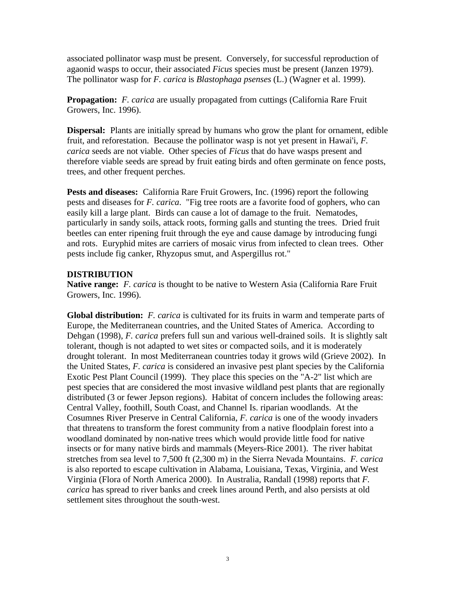associated pollinator wasp must be present. Conversely, for successful reproduction of agaonid wasps to occur, their associated *Ficus* species must be present (Janzen 1979). The pollinator wasp for *F. carica* is *Blastophaga psenses* (L.) (Wagner et al. 1999).

**Propagation:** *F. carica* are usually propagated from cuttings (California Rare Fruit Growers, Inc. 1996).

**Dispersal:** Plants are initially spread by humans who grow the plant for ornament, edible fruit, and reforestation. Because the pollinator wasp is not yet present in Hawai'i, *F. carica* seeds are not viable. Other species of *Ficus* that do have wasps present and therefore viable seeds are spread by fruit eating birds and often germinate on fence posts, trees, and other frequent perches.

**Pests and diseases:** California Rare Fruit Growers, Inc. (1996) report the following pests and diseases for *F. carica*. "Fig tree roots are a favorite food of gophers, who can easily kill a large plant. Birds can cause a lot of damage to the fruit. Nematodes, particularly in sandy soils, attack roots, forming galls and stunting the trees. Dried fruit beetles can enter ripening fruit through the eye and cause damage by introducing fungi and rots. Euryphid mites are carriers of mosaic virus from infected to clean trees. Other pests include fig canker, Rhyzopus smut, and Aspergillus rot."

## **DISTRIBUTION**

**Native range:** *F. carica* is thought to be native to Western Asia (California Rare Fruit Growers, Inc. 1996).

**Global distribution:** *F. carica* is cultivated for its fruits in warm and temperate parts of Europe, the Mediterranean countries, and the United States of America. According to Dehgan (1998), *F. carica* prefers full sun and various well-drained soils. It is slightly salt tolerant, though is not adapted to wet sites or compacted soils, and it is moderately drought tolerant. In most Mediterranean countries today it grows wild (Grieve 2002). In the United States, *F. carica* is considered an invasive pest plant species by the California Exotic Pest Plant Council (1999). They place this species on the "A-2" list which are pest species that are considered the most invasive wildland pest plants that are regionally distributed (3 or fewer Jepson regions). Habitat of concern includes the following areas: Central Valley, foothill, South Coast, and Channel Is. riparian woodlands. At the Cosumnes River Preserve in Central California, *F. carica* is one of the woody invaders that threatens to transform the forest community from a native floodplain forest into a woodland dominated by non-native trees which would provide little food for native insects or for many native birds and mammals (Meyers-Rice 2001). The river habitat stretches from sea level to 7,500 ft (2,300 m) in the Sierra Nevada Mountains. *F. carica* is also reported to escape cultivation in Alabama, Louisiana, Texas, Virginia, and West Virginia (Flora of North America 2000). In Australia, Randall (1998) reports that *F. carica* has spread to river banks and creek lines around Perth, and also persists at old settlement sites throughout the south-west.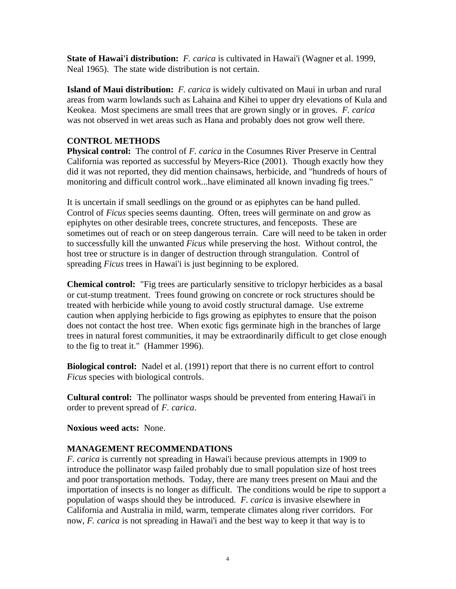**State of Hawai'i distribution:** *F. carica* is cultivated in Hawai'i (Wagner et al. 1999, Neal 1965). The state wide distribution is not certain.

**Island of Maui distribution:** *F. carica* is widely cultivated on Maui in urban and rural areas from warm lowlands such as Lahaina and Kihei to upper dry elevations of Kula and Keokea. Most specimens are small trees that are grown singly or in groves. *F. carica* was not observed in wet areas such as Hana and probably does not grow well there.

# **CONTROL METHODS**

**Physical control:** The control of *F. carica* in the Cosumnes River Preserve in Central California was reported as successful by Meyers-Rice (2001). Though exactly how they did it was not reported, they did mention chainsaws, herbicide, and "hundreds of hours of monitoring and difficult control work...have eliminated all known invading fig trees."

It is uncertain if small seedlings on the ground or as epiphytes can be hand pulled. Control of *Ficus* species seems daunting. Often, trees will germinate on and grow as epiphytes on other desirable trees, concrete structures, and fenceposts. These are sometimes out of reach or on steep dangerous terrain. Care will need to be taken in order to successfully kill the unwanted *Ficus* while preserving the host. Without control, the host tree or structure is in danger of destruction through strangulation. Control of spreading *Ficus* trees in Hawai'i is just beginning to be explored.

**Chemical control:** "Fig trees are particularly sensitive to triclopyr herbicides as a basal or cut-stump treatment. Trees found growing on concrete or rock structures should be treated with herbicide while young to avoid costly structural damage. Use extreme caution when applying herbicide to figs growing as epiphytes to ensure that the poison does not contact the host tree. When exotic figs germinate high in the branches of large trees in natural forest communities, it may be extraordinarily difficult to get close enough to the fig to treat it." (Hammer 1996).

**Biological control:** Nadel et al. (1991) report that there is no current effort to control *Ficus* species with biological controls.

**Cultural control:** The pollinator wasps should be prevented from entering Hawai'i in order to prevent spread of *F. carica*.

**Noxious weed acts:** None.

# **MANAGEMENT RECOMMENDATIONS**

*F. carica* is currently not spreading in Hawai'i because previous attempts in 1909 to introduce the pollinator wasp failed probably due to small population size of host trees and poor transportation methods. Today, there are many trees present on Maui and the importation of insects is no longer as difficult. The conditions would be ripe to support a population of wasps should they be introduced. *F. carica* is invasive elsewhere in California and Australia in mild, warm, temperate climates along river corridors. For now, *F. carica* is not spreading in Hawai'i and the best way to keep it that way is to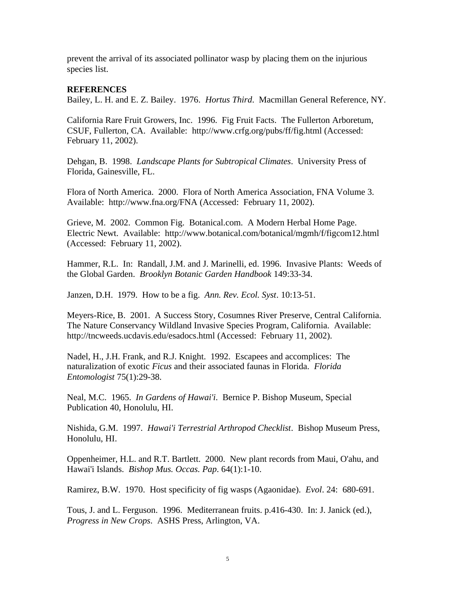prevent the arrival of its associated pollinator wasp by placing them on the injurious species list.

### **REFERENCES**

Bailey, L. H. and E. Z. Bailey. 1976. *Hortus Third*. Macmillan General Reference, NY.

California Rare Fruit Growers, Inc. 1996. Fig Fruit Facts. The Fullerton Arboretum, CSUF, Fullerton, CA. Available: http://www.crfg.org/pubs/ff/fig.html (Accessed: February 11, 2002).

Dehgan, B. 1998. *Landscape Plants for Subtropical Climates*. University Press of Florida, Gainesville, FL.

Flora of North America. 2000. Flora of North America Association, FNA Volume 3. Available: http://www.fna.org/FNA (Accessed: February 11, 2002).

Grieve, M. 2002. Common Fig. Botanical.com. A Modern Herbal Home Page. Electric Newt. Available: http://www.botanical.com/botanical/mgmh/f/figcom12.html (Accessed: February 11, 2002).

Hammer, R.L. In: Randall, J.M. and J. Marinelli, ed. 1996. Invasive Plants: Weeds of the Global Garden. *Brooklyn Botanic Garden Handbook* 149:33-34.

Janzen, D.H. 1979. How to be a fig. *Ann. Rev. Ecol. Syst*. 10:13-51.

Meyers-Rice, B. 2001. A Success Story, Cosumnes River Preserve, Central California. The Nature Conservancy Wildland Invasive Species Program, California. Available: http://tncweeds.ucdavis.edu/esadocs.html (Accessed: February 11, 2002).

Nadel, H., J.H. Frank, and R.J. Knight. 1992. Escapees and accomplices: The naturalization of exotic *Ficus* and their associated faunas in Florida. *Florida Entomologist* 75(1):29-38.

Neal, M.C. 1965. *In Gardens of Hawai'i*. Bernice P. Bishop Museum, Special Publication 40, Honolulu, HI.

Nishida, G.M. 1997. *Hawai'i Terrestrial Arthropod Checklist*. Bishop Museum Press, Honolulu, HI.

Oppenheimer, H.L. and R.T. Bartlett. 2000. New plant records from Maui, O'ahu, and Hawai'i Islands. *Bishop Mus. Occas. Pap*. 64(1):1-10.

Ramirez, B.W. 1970. Host specificity of fig wasps (Agaonidae). *Evol*. 24: 680-691.

Tous, J. and L. Ferguson. 1996. Mediterranean fruits. p.416-430. In: J. Janick (ed.), *Progress in New Crops*. ASHS Press, Arlington, VA.